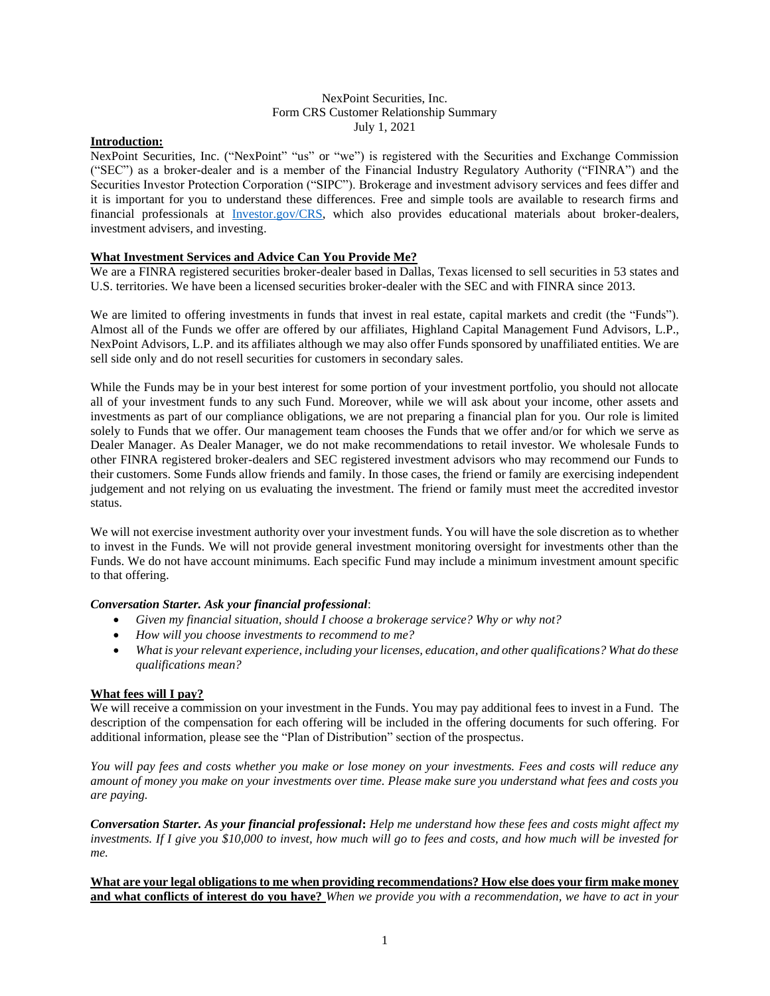#### NexPoint Securities, Inc. Form CRS Customer Relationship Summary July 1, 2021

#### **Introduction:**

NexPoint Securities, Inc. ("NexPoint" "us" or "we") is registered with the Securities and Exchange Commission ("SEC") as a broker-dealer and is a member of the Financial Industry Regulatory Authority ("FINRA") and the Securities Investor Protection Corporation ("SIPC"). Brokerage and investment advisory services and fees differ and it is important for you to understand these differences. Free and simple tools are available to research firms and financial professionals at [Investor.gov/CRS,](https://www.investor.gov/home/welcome-investor-gov-crs) which also provides educational materials about broker-dealers, investment advisers, and investing.

### **What Investment Services and Advice Can You Provide Me?**

We are a FINRA registered securities broker-dealer based in Dallas, Texas licensed to sell securities in 53 states and U.S. territories. We have been a licensed securities broker-dealer with the SEC and with FINRA since 2013.

We are limited to offering investments in funds that invest in real estate, capital markets and credit (the "Funds"). Almost all of the Funds we offer are offered by our affiliates, Highland Capital Management Fund Advisors, L.P., NexPoint Advisors, L.P. and its affiliates although we may also offer Funds sponsored by unaffiliated entities. We are sell side only and do not resell securities for customers in secondary sales.

While the Funds may be in your best interest for some portion of your investment portfolio, you should not allocate all of your investment funds to any such Fund. Moreover, while we will ask about your income, other assets and investments as part of our compliance obligations, we are not preparing a financial plan for you. Our role is limited solely to Funds that we offer. Our management team chooses the Funds that we offer and/or for which we serve as Dealer Manager. As Dealer Manager, we do not make recommendations to retail investor. We wholesale Funds to other FINRA registered broker-dealers and SEC registered investment advisors who may recommend our Funds to their customers. Some Funds allow friends and family. In those cases, the friend or family are exercising independent judgement and not relying on us evaluating the investment. The friend or family must meet the accredited investor status.

We will not exercise investment authority over your investment funds. You will have the sole discretion as to whether to invest in the Funds. We will not provide general investment monitoring oversight for investments other than the Funds. We do not have account minimums. Each specific Fund may include a minimum investment amount specific to that offering.

#### *Conversation Starter. Ask your financial professional*:

- *Given my financial situation, should I choose a brokerage service? Why or why not?*
- *How will you choose investments to recommend to me?*
- *What is your relevant experience, including your licenses, education, and other qualifications? What do these qualifications mean?*

#### **What fees will I pay?**

We will receive a commission on your investment in the Funds. You may pay additional fees to invest in a Fund. The description of the compensation for each offering will be included in the offering documents for such offering. For additional information, please see the "Plan of Distribution" section of the prospectus.

*You will pay fees and costs whether you make or lose money on your investments. Fees and costs will reduce any amount of money you make on your investments over time. Please make sure you understand what fees and costs you are paying.* 

*Conversation Starter. As your financial professional***:** *Help me understand how these fees and costs might affect my investments. If I give you \$10,000 to invest, how much will go to fees and costs, and how much will be invested for me.*

**What are your legal obligations to me when providing recommendations? How else does your firm make money and what conflicts of interest do you have?** *When we provide you with a recommendation, we have to act in your*